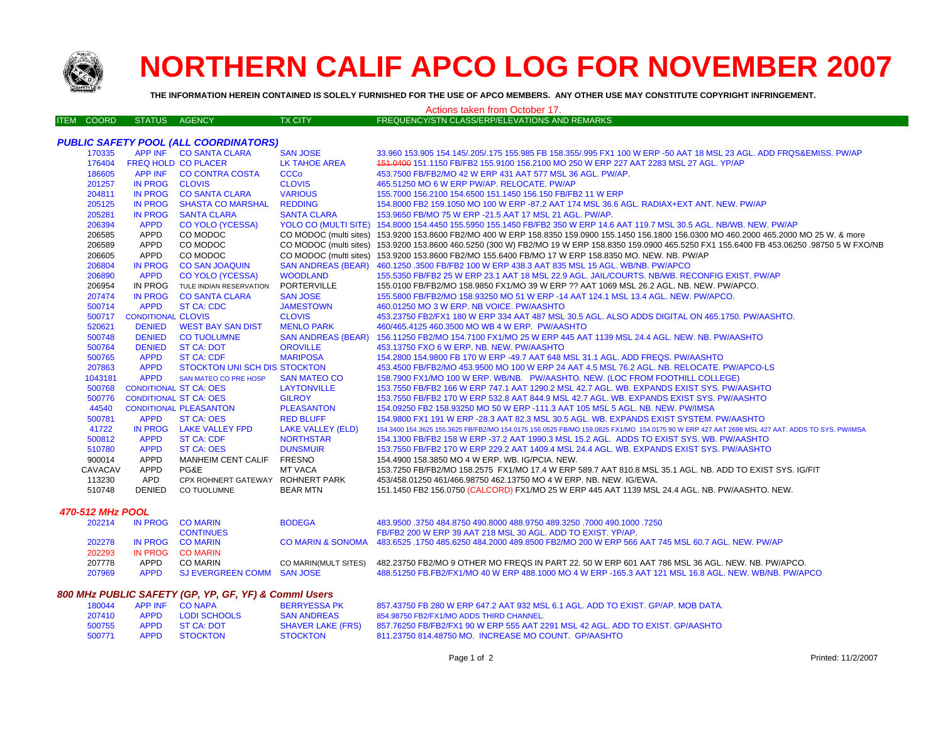

## **NORTHERN CALIF APCO LOG FOR NOVEMBER 2007**

**THE INFORMATION HEREIN CONTAINED IS SOLELY FURNISHED FOR THE USE OF APCO MEMBERS. ANY OTHER USE MAY CONSTITUTE COPYRIGHT INFRINGEMENT.**

## Actions taken from October 17.

| <b>ITEM COORD</b>                            | STATUS AGENCY                 |                                  | <b>TX CITY</b>            | FREQUENCY/STN CLASS/ERP/ELEVATIONS AND REMARKS                                                                                                   |  |
|----------------------------------------------|-------------------------------|----------------------------------|---------------------------|--------------------------------------------------------------------------------------------------------------------------------------------------|--|
|                                              |                               |                                  |                           |                                                                                                                                                  |  |
| <b>PUBLIC SAFETY POOL (ALL COORDINATORS)</b> |                               |                                  |                           |                                                                                                                                                  |  |
| 170335                                       |                               | APP INF CO SANTA CLARA           | <b>SAN JOSE</b>           | 33,960 153,905 154,145/.205/.175 155,985 FB 158,355/.995 FX1 100 W ERP -50 AAT 18 MSL 23 AGL. ADD FRQS&EMISS, PW/AP                              |  |
| 176404                                       | <b>FREQ HOLD CO PLACER</b>    |                                  | <b>LK TAHOE AREA</b>      | 151,0400 151,1150 FB/FB2 155,9100 156,2100 MO 250 W ERP 227 AAT 2283 MSL 27 AGL, YP/AP                                                           |  |
| 186605                                       |                               | APP INF CO CONTRA COSTA          | <b>CCCo</b>               | 453.7500 FB/FB2/MO 42 W ERP 431 AAT 577 MSL 36 AGL. PW/AP.                                                                                       |  |
| 201257                                       | IN PROG CLOVIS                |                                  | <b>CLOVIS</b>             | 465.51250 MO 6 W ERP PW/AP, RELOCATE, PW/AP                                                                                                      |  |
| 204811                                       |                               | IN PROG CO SANTA CLARA           | <b>VARIOUS</b>            | 155,7000 156,2100 154,6500 151,1450 156,150 FB/FB2 11 W ERP                                                                                      |  |
| 205125                                       |                               | IN PROG SHASTA CO MARSHAL        | <b>REDDING</b>            | 154,8000 FB2 159,1050 MO 100 W ERP -87,2 AAT 174 MSL 36.6 AGL, RADIAX+EXT ANT, NEW, PW/AP                                                        |  |
| 205281                                       | <b>IN PROG</b>                | <b>SANTA CLARA</b>               | <b>SANTA CLARA</b>        | 153.9650 FB/MO 75 W ERP -21.5 AAT 17 MSL 21 AGL. PW/AP.                                                                                          |  |
| 206394                                       | <b>APPD</b>                   | <b>CO YOLO (YCESSA)</b>          |                           | YOLO CO (MULTI SITE) 154.8000 154.4450 155.5950 155.1450 FB/FB2 350 W ERP 14.6 AAT 119.7 MSL 30.5 AGL. NB/WB. NEW. PW/AP                         |  |
| 206585                                       | APPD                          | CO MODOC                         |                           | CO MODOC (multi sites) 153.9200 153.8600 FB2/MO 400 W ERP 158.8350 159.0900 155.1450 156.1800 156.0300 MO 460.2000 465.2000 MO 25 W. & more      |  |
| 206589                                       | APPD                          | CO MODOC                         |                           | CO MODOC (multi sites) 153.9200 153.8600 460.5250 (300 W) FB2/MO 19 W ERP 158.8350 159.0900 465.5250 FX1 155.6400 FB 453.06250 .98750 5 W FXO/NB |  |
| 206605                                       | APPD                          | CO MODOC                         |                           | CO MODOC (multi sites) 153.9200 153.8600 FB2/MO 155.6400 FB/MO 17 W ERP 158.8350 MO. NEW. NB. PW/AP                                              |  |
| 206804                                       |                               | IN PROG CO SAN JOAQUIN           |                           | SAN ANDREAS (BEAR) 460.1250 .3500 FB/FB2 100 W ERP 438.3 AAT 835 MSL 15 AGL. WB/NB. PW/APCO                                                      |  |
| 206890                                       | <b>APPD</b>                   | <b>CO YOLO (YCESSA)</b>          | <b>WOODLAND</b>           | 155.5350 FB/FB2 25 W ERP 23.1 AAT 18 MSL 22.9 AGL. JAIL/COURTS, NB/WB, RECONFIG EXIST, PW/AP                                                     |  |
| 206954                                       |                               | IN PROG TULE INDIAN RESERVATION  | PORTERVILLE               | 155.0100 FB/FB2/MO 158.9850 FX1/MO 39 W ERP ?? AAT 1069 MSL 26.2 AGL. NB. NEW. PW/APCO.                                                          |  |
| 207474                                       |                               | IN PROG CO SANTA CLARA           | <b>SAN JOSE</b>           | 155.5800 FB/FB2/MO 158.93250 MO 51 W ERP -14 AAT 124.1 MSL 13.4 AGL. NEW. PW/APCO.                                                               |  |
| 500714                                       | <b>APPD</b>                   | <b>ST CA: CDC</b>                | <b>JAMESTOWN</b>          | 460.01250 MO 3 W ERP. NB VOICE. PW/AASHTO                                                                                                        |  |
| 500717                                       | <b>CONDITIONAL CLOVIS</b>     |                                  | <b>CLOVIS</b>             | 453.23750 FB2/FX1 180 W ERP 334 AAT 487 MSL 30.5 AGL. ALSO ADDS DIGITAL ON 465.1750. PW/AASHTO.                                                  |  |
| 520621                                       |                               | DENIED WEST BAY SAN DIST         | <b>MENLO PARK</b>         | 460/465.4125 460.3500 MO WB 4 W ERP. PW/AASHTO                                                                                                   |  |
| 500748                                       |                               | <b>DENIED CO TUOLUMNE</b>        | <b>SAN ANDREAS (BEAR)</b> | 156.11250 FB2/MO 154.7100 FX1/MO 25 W ERP 445 AAT 1139 MSL 24.4 AGL, NEW, NB, PW/AASHTO                                                          |  |
| 500764                                       |                               | DENIED ST CA: DOT                | <b>OROVILLE</b>           | 453.13750 FXO 6 W ERP. NB. NEW. PW/AASHTO                                                                                                        |  |
| 500765                                       | <b>APPD</b>                   | <b>ST CA: CDF</b>                | <b>MARIPOSA</b>           | 154,2800 154,9800 FB 170 W ERP -49.7 AAT 648 MSL 31.1 AGL, ADD FREQS, PW/AASHTO                                                                  |  |
| 207863                                       | <b>APPD</b>                   | STOCKTON UNI SCH DIS STOCKTON    |                           | 453.4500 FB/FB2/MO 453.9500 MO 100 W ERP 24 AAT 4.5 MSL 76.2 AGL. NB. RELOCATE. PW/APCO-LS                                                       |  |
| 1043181                                      | <b>APPD</b>                   | SAN MATEO CO PRE HOSP            | <b>SAN MATEO CO</b>       | 158.7900 FX1/MO 100 W ERP. WB/NB. PW/AASHTO. NEW. (LOC FROM FOOTHILL COLLEGE)                                                                    |  |
| 500768                                       | <b>CONDITIONAL ST CA: OES</b> |                                  | <b>LAYTONVILLE</b>        | 153.7550 FB/FB2 166 W ERP 747.1 AAT 1290.2 MSL 42.7 AGL. WB. EXPANDS EXIST SYS. PW/AASHTO                                                        |  |
| 500776                                       | <b>CONDITIONAL ST CA: OES</b> |                                  | <b>GILROY</b>             | 153.7550 FB/FB2 170 W ERP 532.8 AAT 844.9 MSL 42.7 AGL, WB, EXPANDS EXIST SYS, PW/AASHTO                                                         |  |
| 44540                                        |                               | <b>CONDITIONAL PLEASANTON</b>    | <b>PLEASANTON</b>         | 154,09250 FB2 158,93250 MO 50 W ERP -111.3 AAT 105 MSL 5 AGL, NB, NEW, PW/IMSA                                                                   |  |
| 500781                                       | <b>APPD</b>                   | ST CA: OES                       | <b>RED BLUFF</b>          | 154.9800 FX1 191 W ERP -28.3 AAT 82.3 MSL 30.5 AGL. WB. EXPANDS EXIST SYSTEM. PW/AASHTO                                                          |  |
| 41722                                        |                               | IN PROG LAKE VALLEY FPD          | <b>LAKE VALLEY (ELD)</b>  | 154,3400 154,3625 155,3625 FB/FB2/MO 154,0175 156,0525 FB/MO 159,0825 FX1/MO 154,0175 90 W ERP 427 AAT 2698 MSL 427 AAT, ADDS TO SYS, PW/IMSA    |  |
| 500812                                       | <b>APPD</b>                   | <b>ST CA: CDF</b>                | <b>NORTHSTAR</b>          | 154.1300 FB/FB2 158 W ERP -37.2 AAT 1990.3 MSL 15.2 AGL. ADDS TO EXIST SYS. WB. PW/AASHTO                                                        |  |
| 510780                                       | <b>APPD</b>                   | <b>ST CA: OES</b>                | <b>DUNSMUIR</b>           | 153.7550 FB/FB2 170 W ERP 229.2 AAT 1409.4 MSL 24.4 AGL. WB. EXPANDS EXIST SYS. PW/AASHTO                                                        |  |
| 900014                                       | APPD                          | MANHEIM CENT CALIF FRESNO        |                           | 154.4900 158.3850 MO 4 W ERP. WB. IG/PCIA. NEW.                                                                                                  |  |
| <b>CAVACAV</b>                               | APPD                          | PG&E                             | <b>MT VACA</b>            | 153.7250 FB/FB2/MO 158.2575 FX1/MO 17.4 W ERP 589.7 AAT 810.8 MSL 35.1 AGL. NB. ADD TO EXIST SYS. IG/FIT                                         |  |
| 113230                                       | APD                           | CPX ROHNERT GATEWAY ROHNERT PARK |                           | 453/458.01250 461/466.98750 462.13750 MO 4 W ERP, NB, NEW, IG/EWA,                                                                               |  |
| 510748                                       | DENIED                        | <b>CO TUOLUMNE</b>               | <b>BEAR MTN</b>           | 151.1450 FB2 156.0750 (CALCORD) FX1/MO 25 W ERP 445 AAT 1139 MSL 24.4 AGL. NB. PW/AASHTO. NEW.                                                   |  |
| 470-512 MHz POOL                             |                               |                                  |                           |                                                                                                                                                  |  |
|                                              | 202214 IN PROG COMARIN        |                                  | <b>BODEGA</b>             | 483,9500 .3750 484,8750 490,8000 488,9750 489,3250 .7000 490,1000 .7250                                                                          |  |

| 202214 |             | IN PROG - CO MARIN         | <b>BODEGA</b>        | 483.9500. 7250 484.8750 490.8000 488.9750 489.3250 .7000 490.1000                                                 |
|--------|-------------|----------------------------|----------------------|-------------------------------------------------------------------------------------------------------------------|
|        |             | <b>CONTINUES</b>           |                      | FB/FB2 200 W ERP 39 AAT 218 MSL 30 AGL. ADD TO EXIST, YP/AP.                                                      |
| 202278 |             | IN PROG COMARIN            |                      | CO MARIN & SONOMA 483,6525, 1750 485,6250 484,2000 489,8500 FB2/MO 200 W ERP 566 AAT 745 MSL 60.7 AGL, NEW, PW/AP |
| 202293 |             | IN PROG CO MARIN           |                      |                                                                                                                   |
| 207778 | APPD        | CO MARIN                   | CO MARIN(MULT SITES) | 482.23750 FB2/MO 9 OTHER MO FREQS IN PART 22. 50 W ERP 601 AAT 786 MSL 36 AGL. NEW. NB. PW/APCO.                  |
| 207969 | <b>APPD</b> | SJ EVERGREEN COMM SAN JOSE |                      | 488.51250 FB FB2/FX1/MO 40 W ERP 488.1000 MO 4 W ERP -165.3 AAT 121 MSL 16.8 AGL. NEW. WB/NB, PW/APCC             |

## *800 MHz PUBLIC SAFETY (GP, YP, GF, YF) & Comml Users*

| 180044 | APP INF CONAPA   | <b>BERRYESSA PK</b>      | 857.43750 FB 280 W ERP 647.2 AAT 932 MSL 6.1 AGL. ADD TO EXIST. GP/AP. MOB DATA. |
|--------|------------------|--------------------------|----------------------------------------------------------------------------------|
| 207410 | APPD LODISCHOOLS | <b>SAN ANDREAS</b>       | 854.98750 FB2/FX1/MO ADDS THIRD CHANNEL.                                         |
| 500755 | APPD ST CA: DOT  | <b>SHAVER LAKE (FRS)</b> | 857,76250 FB/FB2/FX1 90 W ERP 555 AAT 2291 MSL 42 AGL. ADD TO EXIST, GP/AASHTO   |
| 500771 | APPD STOCKTON    | <b>STOCKTON</b>          | 811.23750 814.48750 MO. INCREASE MO COUNT. GP/AASHTO                             |